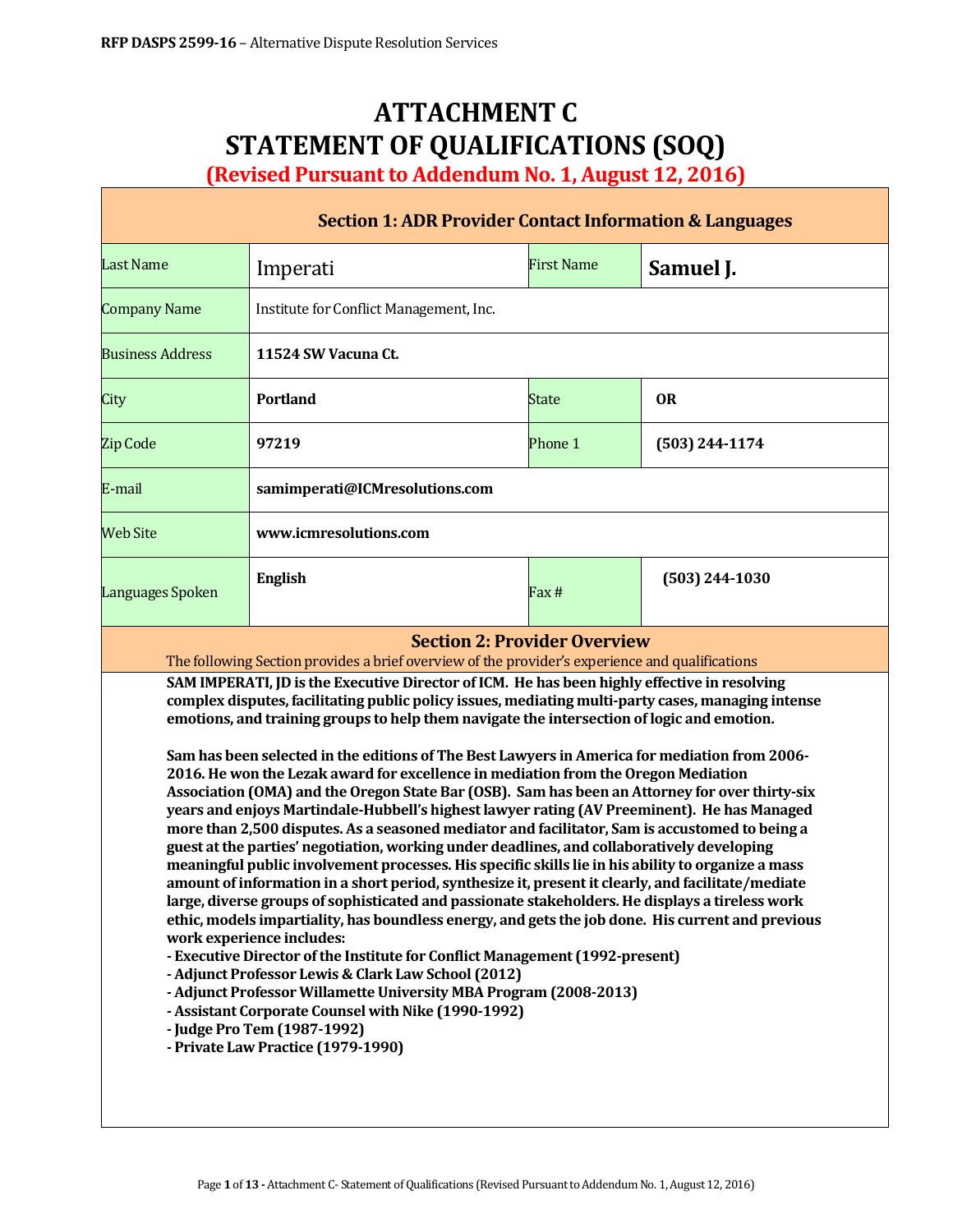Г

# **ATTACHMENT C STATEMENT OF QUALIFICATIONS (SOQ)**

**(Revised Pursuant to Addendum No. 1, August 12, 2016)**

| <b>Section 1: ADR Provider Contact Information &amp; Languages</b>                                                                                                                                                                                                                                                                                                                                                                                                                                                                                                                                                                                                                                                                                                                                                                                                                                                                                                                                                                                                                                                                                                                                                                                                                                                                                                                                                                                                                                                                                                                                                                                                                                                                                                                                                          |                                         |                             |                  |  |  |  |
|-----------------------------------------------------------------------------------------------------------------------------------------------------------------------------------------------------------------------------------------------------------------------------------------------------------------------------------------------------------------------------------------------------------------------------------------------------------------------------------------------------------------------------------------------------------------------------------------------------------------------------------------------------------------------------------------------------------------------------------------------------------------------------------------------------------------------------------------------------------------------------------------------------------------------------------------------------------------------------------------------------------------------------------------------------------------------------------------------------------------------------------------------------------------------------------------------------------------------------------------------------------------------------------------------------------------------------------------------------------------------------------------------------------------------------------------------------------------------------------------------------------------------------------------------------------------------------------------------------------------------------------------------------------------------------------------------------------------------------------------------------------------------------------------------------------------------------|-----------------------------------------|-----------------------------|------------------|--|--|--|
| <b>Last Name</b>                                                                                                                                                                                                                                                                                                                                                                                                                                                                                                                                                                                                                                                                                                                                                                                                                                                                                                                                                                                                                                                                                                                                                                                                                                                                                                                                                                                                                                                                                                                                                                                                                                                                                                                                                                                                            | Imperati                                | <b>First Name</b>           | Samuel J.        |  |  |  |
| <b>Company Name</b>                                                                                                                                                                                                                                                                                                                                                                                                                                                                                                                                                                                                                                                                                                                                                                                                                                                                                                                                                                                                                                                                                                                                                                                                                                                                                                                                                                                                                                                                                                                                                                                                                                                                                                                                                                                                         | Institute for Conflict Management, Inc. |                             |                  |  |  |  |
| <b>Business Address</b>                                                                                                                                                                                                                                                                                                                                                                                                                                                                                                                                                                                                                                                                                                                                                                                                                                                                                                                                                                                                                                                                                                                                                                                                                                                                                                                                                                                                                                                                                                                                                                                                                                                                                                                                                                                                     | 11524 SW Vacuna Ct.                     |                             |                  |  |  |  |
| City                                                                                                                                                                                                                                                                                                                                                                                                                                                                                                                                                                                                                                                                                                                                                                                                                                                                                                                                                                                                                                                                                                                                                                                                                                                                                                                                                                                                                                                                                                                                                                                                                                                                                                                                                                                                                        | <b>Portland</b>                         | <b>OR</b><br><b>State</b>   |                  |  |  |  |
| <b>Zip Code</b>                                                                                                                                                                                                                                                                                                                                                                                                                                                                                                                                                                                                                                                                                                                                                                                                                                                                                                                                                                                                                                                                                                                                                                                                                                                                                                                                                                                                                                                                                                                                                                                                                                                                                                                                                                                                             | 97219                                   | Phone 1<br>$(503)$ 244-1174 |                  |  |  |  |
| E-mail                                                                                                                                                                                                                                                                                                                                                                                                                                                                                                                                                                                                                                                                                                                                                                                                                                                                                                                                                                                                                                                                                                                                                                                                                                                                                                                                                                                                                                                                                                                                                                                                                                                                                                                                                                                                                      | samimperati@ICMresolutions.com          |                             |                  |  |  |  |
| <b>Web Site</b>                                                                                                                                                                                                                                                                                                                                                                                                                                                                                                                                                                                                                                                                                                                                                                                                                                                                                                                                                                                                                                                                                                                                                                                                                                                                                                                                                                                                                                                                                                                                                                                                                                                                                                                                                                                                             | www.icmresolutions.com                  |                             |                  |  |  |  |
| Languages Spoken                                                                                                                                                                                                                                                                                                                                                                                                                                                                                                                                                                                                                                                                                                                                                                                                                                                                                                                                                                                                                                                                                                                                                                                                                                                                                                                                                                                                                                                                                                                                                                                                                                                                                                                                                                                                            | <b>English</b>                          | Fax #                       | $(503)$ 244-1030 |  |  |  |
| <b>Section 2: Provider Overview</b><br>The following Section provides a brief overview of the provider's experience and qualifications<br>SAM IMPERATI, JD is the Executive Director of ICM. He has been highly effective in resolving<br>complex disputes, facilitating public policy issues, mediating multi-party cases, managing intense<br>emotions, and training groups to help them navigate the intersection of logic and emotion.<br>Sam has been selected in the editions of The Best Lawyers in America for mediation from 2006-<br>2016. He won the Lezak award for excellence in mediation from the Oregon Mediation<br>Association (OMA) and the Oregon State Bar (OSB). Sam has been an Attorney for over thirty-six<br>years and enjoys Martindale-Hubbell's highest lawyer rating (AV Preeminent). He has Managed<br>more than 2,500 disputes. As a seasoned mediator and facilitator, Sam is accustomed to being a<br>guest at the parties' negotiation, working under deadlines, and collaboratively developing<br>meaningful public involvement processes. His specific skills lie in his ability to organize a mass<br>amount of information in a short period, synthesize it, present it clearly, and facilitate/mediate<br>large, diverse groups of sophisticated and passionate stakeholders. He displays a tireless work<br>ethic, models impartiality, has boundless energy, and gets the job done. His current and previous<br>work experience includes:<br>- Executive Director of the Institute for Conflict Management (1992-present)<br>- Adjunct Professor Lewis & Clark Law School (2012)<br>- Adjunct Professor Willamette University MBA Program (2008-2013)<br>- Assistant Corporate Counsel with Nike (1990-1992)<br>- Judge Pro Tem (1987-1992)<br>- Private Law Practice (1979-1990) |                                         |                             |                  |  |  |  |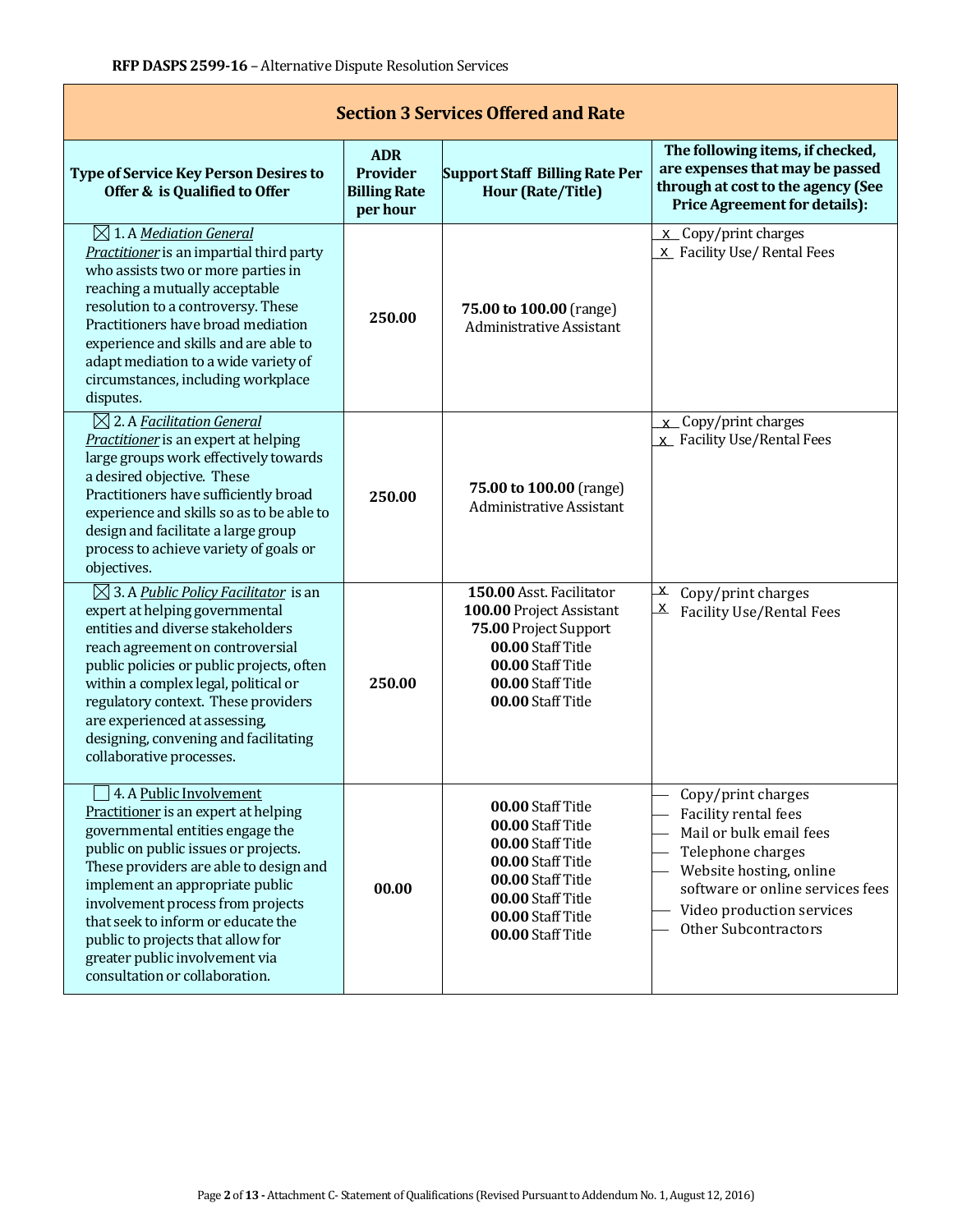| <b>Section 3 Services Offered and Rate</b>                                                                                                                                                                                                                                                                                                                                                                   |                                                           |                                                                                                                                                                      |                                                                                                                                                                                                                       |  |  |  |
|--------------------------------------------------------------------------------------------------------------------------------------------------------------------------------------------------------------------------------------------------------------------------------------------------------------------------------------------------------------------------------------------------------------|-----------------------------------------------------------|----------------------------------------------------------------------------------------------------------------------------------------------------------------------|-----------------------------------------------------------------------------------------------------------------------------------------------------------------------------------------------------------------------|--|--|--|
| <b>Type of Service Key Person Desires to</b><br>Offer & is Qualified to Offer                                                                                                                                                                                                                                                                                                                                | <b>ADR</b><br>Provider<br><b>Billing Rate</b><br>per hour | <b>Support Staff Billing Rate Per</b><br><b>Hour (Rate/Title)</b>                                                                                                    | The following items, if checked,<br>are expenses that may be passed<br>through at cost to the agency (See<br><b>Price Agreement for details):</b>                                                                     |  |  |  |
| $\boxtimes$ 1. A Mediation General<br>Practitioner is an impartial third party<br>who assists two or more parties in<br>reaching a mutually acceptable<br>resolution to a controversy. These<br>Practitioners have broad mediation<br>experience and skills and are able to<br>adapt mediation to a wide variety of<br>circumstances, including workplace<br>disputes.                                       | 250.00                                                    | 75.00 to 100.00 (range)<br><b>Administrative Assistant</b>                                                                                                           | x Copy/print charges<br>x Facility Use/Rental Fees                                                                                                                                                                    |  |  |  |
| $\boxtimes$ 2. A Facilitation General<br>Practitioner is an expert at helping<br>large groups work effectively towards<br>a desired objective. These<br>Practitioners have sufficiently broad<br>experience and skills so as to be able to<br>design and facilitate a large group<br>process to achieve variety of goals or<br>objectives.                                                                   | 250.00                                                    | 75.00 to 100.00 (range)<br><b>Administrative Assistant</b>                                                                                                           | x Copy/print charges<br>x Facility Use/Rental Fees                                                                                                                                                                    |  |  |  |
| $\boxtimes$ 3. A Public Policy Facilitator is an<br>expert at helping governmental<br>entities and diverse stakeholders<br>reach agreement on controversial<br>public policies or public projects, often<br>within a complex legal, political or<br>regulatory context. These providers<br>are experienced at assessing,<br>designing, convening and facilitating<br>collaborative processes.                | 250.00                                                    | 150.00 Asst. Facilitator<br>100.00 Project Assistant<br>75.00 Project Support<br>00.00 Staff Title<br>00.00 Staff Title<br>00.00 Staff Title<br>00.00 Staff Title    | $\mathbf{x}$<br>Copy/print charges<br><u>X</u><br><b>Facility Use/Rental Fees</b>                                                                                                                                     |  |  |  |
| 4. A Public Involvement<br>Practitioner is an expert at helping<br>governmental entities engage the<br>public on public issues or projects.<br>These providers are able to design and<br>implement an appropriate public<br>involvement process from projects<br>that seek to inform or educate the<br>public to projects that allow for<br>greater public involvement via<br>consultation or collaboration. | 00.00                                                     | 00.00 Staff Title<br>00.00 Staff Title<br>00.00 Staff Title<br>00.00 Staff Title<br>00.00 Staff Title<br>00.00 Staff Title<br>00.00 Staff Title<br>00.00 Staff Title | Copy/print charges<br>Facility rental fees<br>Mail or bulk email fees<br>Telephone charges<br>Website hosting, online<br>software or online services fees<br>Video production services<br><b>Other Subcontractors</b> |  |  |  |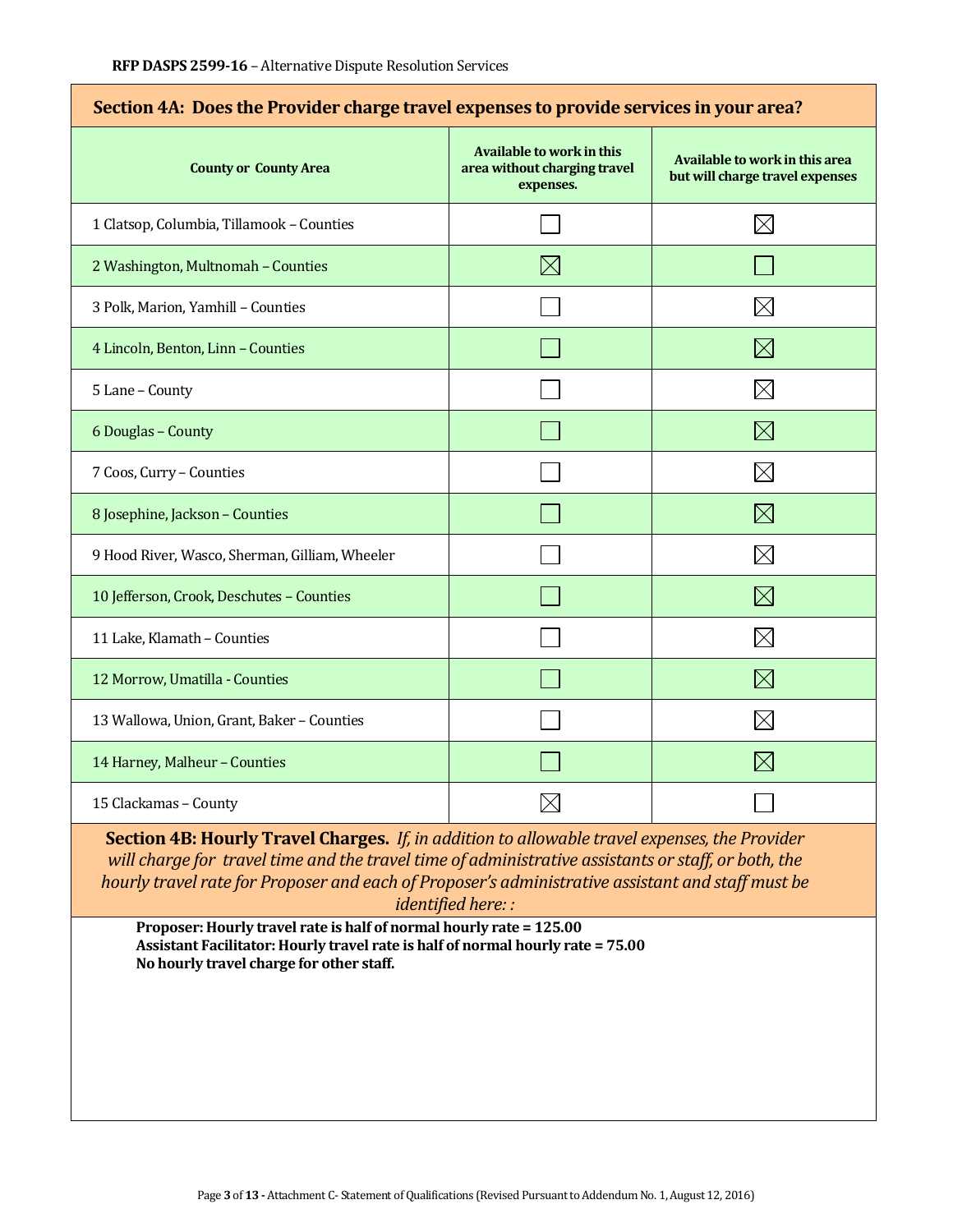| Section 4A: Does the Provider charge travel expenses to provide services in your area? |                                                                               |                                                                   |  |  |  |
|----------------------------------------------------------------------------------------|-------------------------------------------------------------------------------|-------------------------------------------------------------------|--|--|--|
| <b>County or County Area</b>                                                           | <b>Available to work in this</b><br>area without charging travel<br>expenses. | Available to work in this area<br>but will charge travel expenses |  |  |  |
| 1 Clatsop, Columbia, Tillamook - Counties                                              |                                                                               | $\times$                                                          |  |  |  |
| 2 Washington, Multnomah - Counties                                                     | $\boxtimes$                                                                   |                                                                   |  |  |  |
| 3 Polk, Marion, Yamhill - Counties                                                     |                                                                               | Х                                                                 |  |  |  |
| 4 Lincoln, Benton, Linn - Counties                                                     |                                                                               | $\boxtimes$                                                       |  |  |  |
| 5 Lane - County                                                                        |                                                                               | $\boxtimes$                                                       |  |  |  |
| 6 Douglas - County                                                                     |                                                                               | $\boxtimes$                                                       |  |  |  |
| 7 Coos, Curry - Counties                                                               |                                                                               | $\boxtimes$                                                       |  |  |  |
| 8 Josephine, Jackson - Counties                                                        |                                                                               | $\boxtimes$                                                       |  |  |  |
| 9 Hood River, Wasco, Sherman, Gilliam, Wheeler                                         |                                                                               | $\times$                                                          |  |  |  |
| 10 Jefferson, Crook, Deschutes - Counties                                              |                                                                               | $\boxtimes$                                                       |  |  |  |
| 11 Lake, Klamath - Counties                                                            |                                                                               | $\boxtimes$                                                       |  |  |  |
| 12 Morrow, Umatilla - Counties                                                         |                                                                               | $\boxtimes$                                                       |  |  |  |
| 13 Wallowa, Union, Grant, Baker - Counties                                             |                                                                               | $\boxtimes$                                                       |  |  |  |
| 14 Harney, Malheur - Counties                                                          |                                                                               | $\times$                                                          |  |  |  |
| 15 Clackamas - County                                                                  |                                                                               |                                                                   |  |  |  |

# **Section 4A: Does the Provider charge travel expenses to provide services in your area?**

**Section 4B: Hourly Travel Charges.** *If, in addition to allowable travel expenses, the Provider will charge for travel time and the travel time of administrative assistants or staff, or both, the hourly travel rate for Proposer and each of Proposer's administrative assistant and staff must be identified here: :*

**Proposer: Hourly travel rate is half of normal hourly rate = 125.00 Assistant Facilitator: Hourly travel rate is half of normal hourly rate = 75.00 No hourly travel charge for other staff.**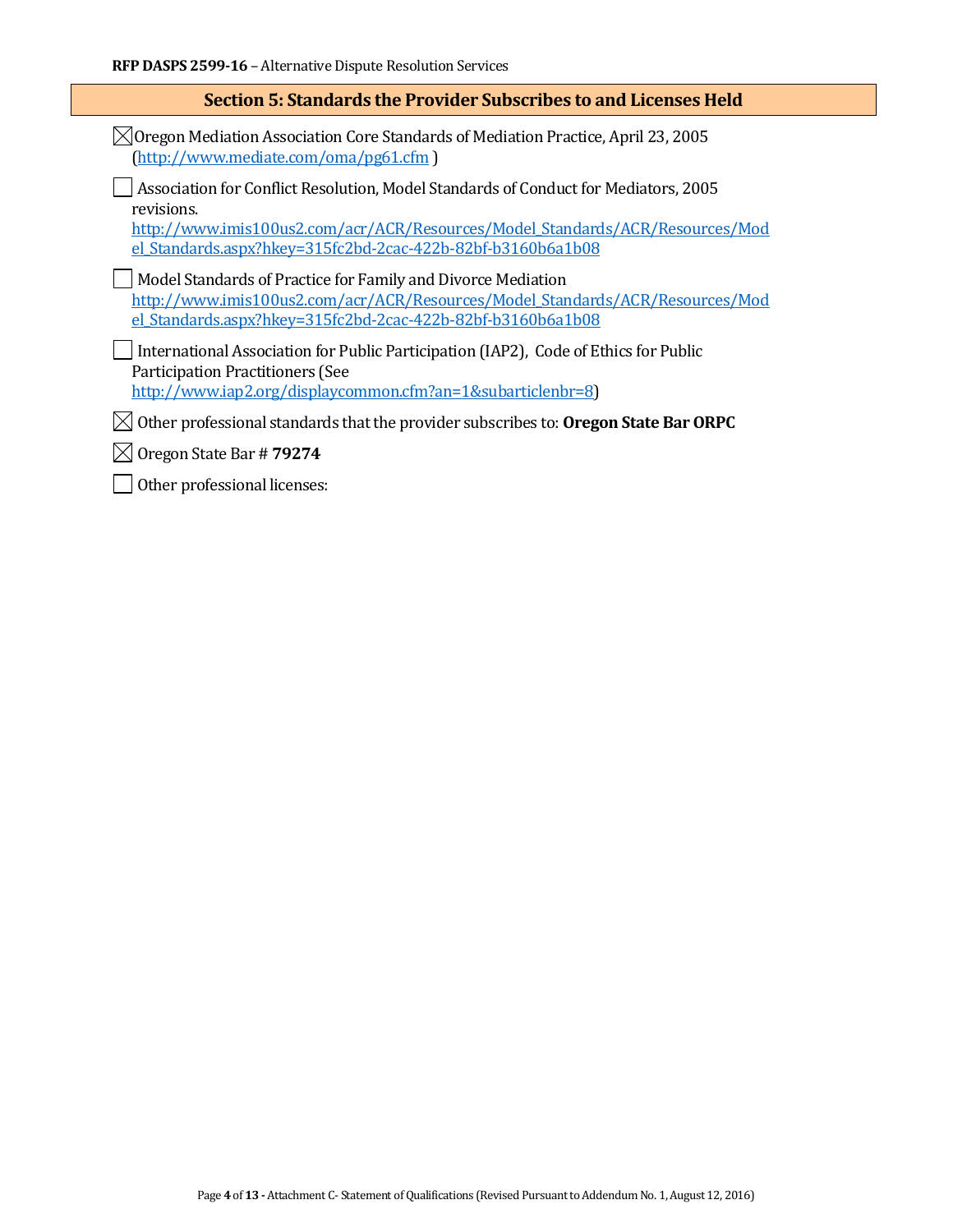| Section 5: Standards the Provider Subscribes to and Licenses Held                                                                                                                                                                                 |  |  |
|---------------------------------------------------------------------------------------------------------------------------------------------------------------------------------------------------------------------------------------------------|--|--|
| $\bowtie$ Oregon Mediation Association Core Standards of Mediation Practice, April 23, 2005<br>(http://www.mediate.com/oma/pg61.cfm)                                                                                                              |  |  |
| Association for Conflict Resolution, Model Standards of Conduct for Mediators, 2005<br>revisions.<br>http://www.imis100us2.com/acr/ACR/Resources/Model Standards/ACR/Resources/Mod<br>el Standards.aspx?hkey=315fc2bd-2cac-422b-82bf-b3160b6a1b08 |  |  |
| Model Standards of Practice for Family and Divorce Mediation<br>http://www.imis100us2.com/acr/ACR/Resources/Model Standards/ACR/Resources/Mod<br>el Standards.aspx?hkey=315fc2bd-2cac-422b-82bf-b3160b6a1b08                                      |  |  |
| International Association for Public Participation (IAP2), Code of Ethics for Public<br>Participation Practitioners (See<br>http://www.iap2.org/displaycommon.cfm?an=1&subarticlenbr=8)                                                           |  |  |
| Other professional standards that the provider subscribes to: Oregon State Bar ORPC                                                                                                                                                               |  |  |
| Oregon State Bar #79274                                                                                                                                                                                                                           |  |  |
|                                                                                                                                                                                                                                                   |  |  |

Other professional licenses: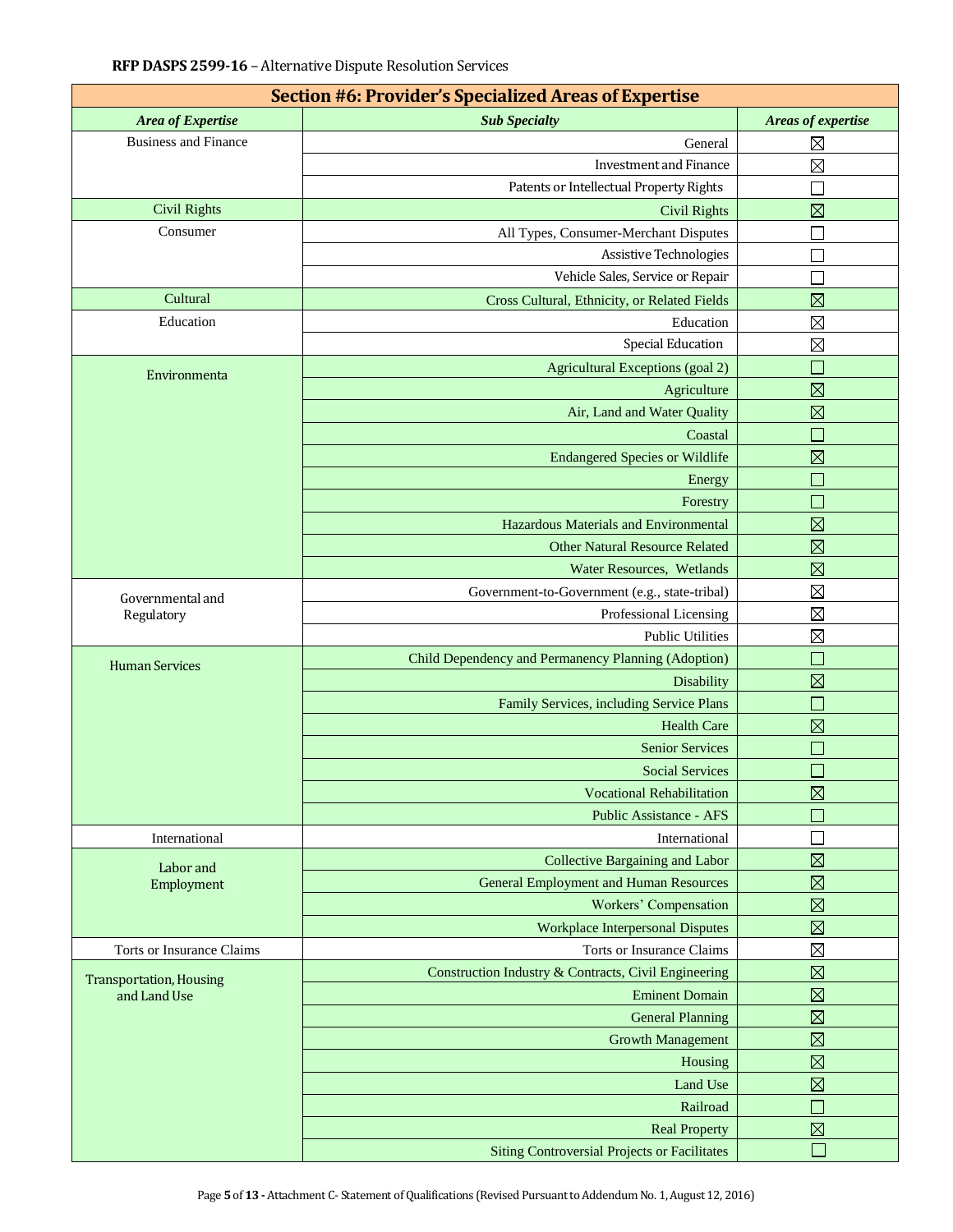| Section #6: Provider's Specialized Areas of Expertise |                                                      |                            |  |  |  |  |
|-------------------------------------------------------|------------------------------------------------------|----------------------------|--|--|--|--|
| Area of Expertise                                     | <b>Sub Specialty</b>                                 | Areas of expertise         |  |  |  |  |
| <b>Business and Finance</b>                           | General                                              | $\boxtimes$                |  |  |  |  |
|                                                       | <b>Investment and Finance</b>                        | $\boxtimes$                |  |  |  |  |
|                                                       | Patents or Intellectual Property Rights              | Ξ                          |  |  |  |  |
| <b>Civil Rights</b>                                   | <b>Civil Rights</b>                                  | $\boxtimes$                |  |  |  |  |
| Consumer                                              | All Types, Consumer-Merchant Disputes                |                            |  |  |  |  |
|                                                       | Assistive Technologies                               | $\Box$                     |  |  |  |  |
|                                                       | Vehicle Sales, Service or Repair                     |                            |  |  |  |  |
| Cultural                                              | Cross Cultural, Ethnicity, or Related Fields         | $\boxtimes$                |  |  |  |  |
| Education                                             | Education                                            | $\boxtimes$                |  |  |  |  |
|                                                       | Special Education                                    | $\boxtimes$                |  |  |  |  |
| Environmenta                                          | Agricultural Exceptions (goal 2)                     | $\Box$                     |  |  |  |  |
|                                                       | Agriculture                                          | $\boxtimes$                |  |  |  |  |
|                                                       | Air, Land and Water Quality                          | $\boxtimes$                |  |  |  |  |
|                                                       | Coastal                                              | ×                          |  |  |  |  |
|                                                       | <b>Endangered Species or Wildlife</b>                | $\boxtimes$                |  |  |  |  |
|                                                       | Energy                                               | $\Box$                     |  |  |  |  |
|                                                       | Forestry                                             | $\Box$                     |  |  |  |  |
|                                                       | Hazardous Materials and Environmental                | $\boxtimes$                |  |  |  |  |
|                                                       | <b>Other Natural Resource Related</b>                | $\boxtimes$                |  |  |  |  |
|                                                       | Water Resources, Wetlands                            | $\boxtimes$                |  |  |  |  |
| Governmental and                                      | Government-to-Government (e.g., state-tribal)        | $\boxtimes$                |  |  |  |  |
| Regulatory                                            | Professional Licensing                               | $\boxtimes$                |  |  |  |  |
|                                                       | <b>Public Utilities</b>                              | $\boxtimes$                |  |  |  |  |
| <b>Human Services</b>                                 | Child Dependency and Permanency Planning (Adoption)  | ×                          |  |  |  |  |
|                                                       | Disability                                           | $\boxtimes$                |  |  |  |  |
|                                                       | Family Services, including Service Plans             | $\Box$                     |  |  |  |  |
|                                                       | <b>Health Care</b>                                   | $\boxtimes$                |  |  |  |  |
|                                                       | <b>Senior Services</b>                               | $\overline{\phantom{a}}$   |  |  |  |  |
|                                                       | <b>Social Services</b>                               |                            |  |  |  |  |
|                                                       | <b>Vocational Rehabilitation</b>                     | $\boxtimes$                |  |  |  |  |
|                                                       | <b>Public Assistance - AFS</b>                       | $\Box$                     |  |  |  |  |
| International                                         | International                                        |                            |  |  |  |  |
| Labor and                                             | <b>Collective Bargaining and Labor</b>               | $\boxtimes$                |  |  |  |  |
| Employment                                            | <b>General Employment and Human Resources</b>        | $\boxtimes$                |  |  |  |  |
|                                                       | Workers' Compensation                                | $\boxtimes$                |  |  |  |  |
|                                                       | <b>Workplace Interpersonal Disputes</b>              | $\boxtimes$                |  |  |  |  |
| Torts or Insurance Claims                             | Torts or Insurance Claims                            | $\boxtimes$                |  |  |  |  |
| <b>Transportation, Housing</b>                        | Construction Industry & Contracts, Civil Engineering | $\boxtimes$                |  |  |  |  |
| and Land Use                                          | <b>Eminent Domain</b>                                | $\boxtimes$                |  |  |  |  |
|                                                       | <b>General Planning</b>                              | $\boxtimes$                |  |  |  |  |
|                                                       | <b>Growth Management</b>                             | $\boxtimes$                |  |  |  |  |
|                                                       | Housing                                              | $\boxtimes$                |  |  |  |  |
|                                                       | Land Use                                             | $\boxtimes$                |  |  |  |  |
|                                                       | Railroad                                             | $\mathcal{L}(\mathcal{L})$ |  |  |  |  |
|                                                       | <b>Real Property</b>                                 | $\boxtimes$                |  |  |  |  |
|                                                       | <b>Siting Controversial Projects or Facilitates</b>  | Г                          |  |  |  |  |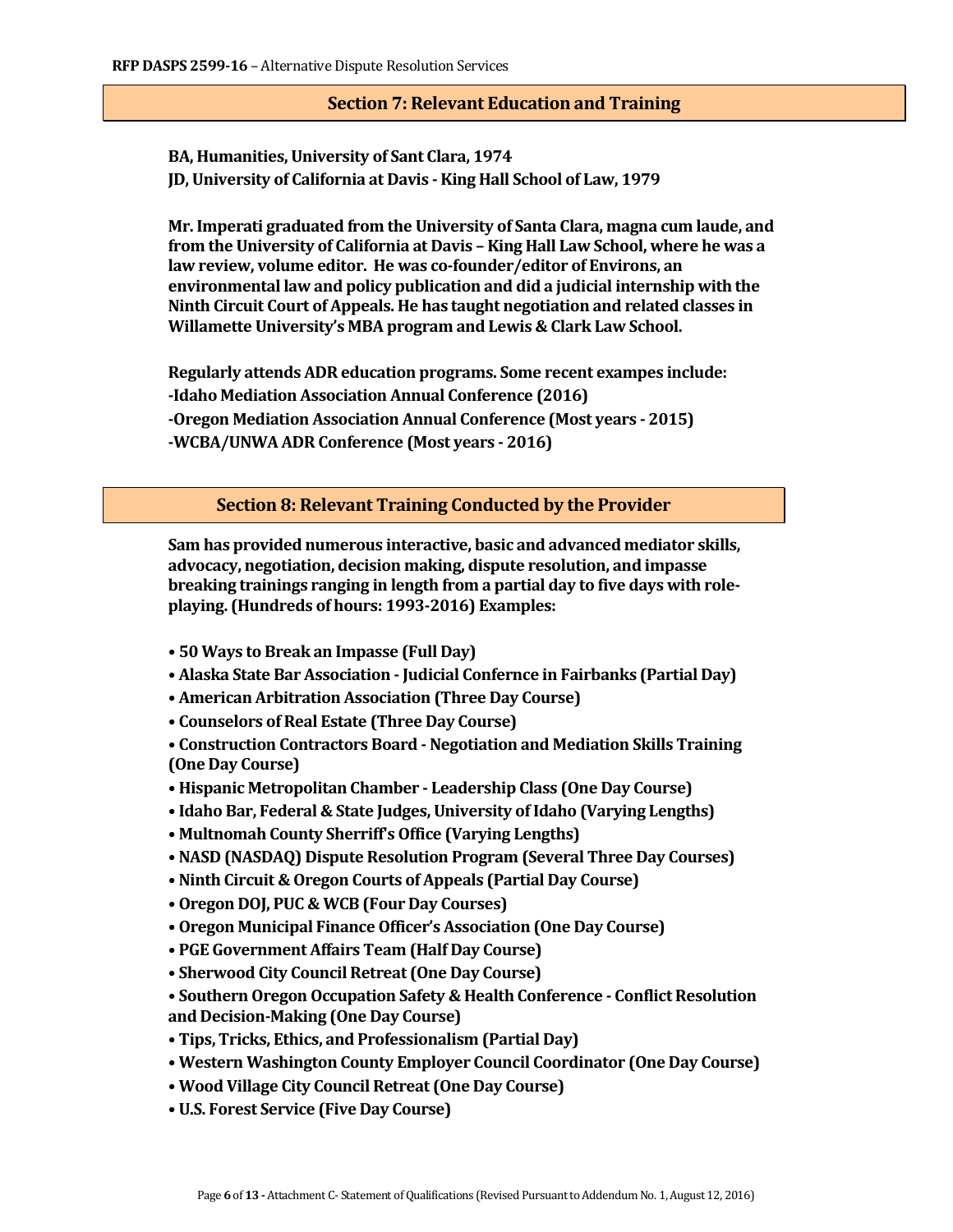## **Section 7: Relevant Education and Training**

**BA, Humanities, University of Sant Clara, 1974 JD, University of California at Davis - King Hall School of Law, 1979**

**Mr. Imperati graduated from the University of Santa Clara, magna cum laude, and from the University of California at Davis – King Hall Law School, where he was a law review, volume editor. He was co-founder/editor of Environs, an environmental law and policy publication and did a judicial internship with the Ninth Circuit Court of Appeals. He has taught negotiation and related classes in Willamette University's MBA program and Lewis & Clark Law School.**

**Regularly attends ADR education programs. Some recent exampes include: -Idaho Mediation Association Annual Conference (2016) -Oregon Mediation Association Annual Conference (Most years - 2015) -WCBA/UNWA ADR Conference (Most years - 2016)**

**Section 8: Relevant Training Conducted by the Provider**

**Sam has provided numerous interactive, basic and advanced mediator skills, advocacy, negotiation, decision making, dispute resolution, and impasse breaking trainings ranging in length from a partial day to five days with roleplaying. (Hundreds of hours: 1993-2016) Examples:**

- **50 Ways to Break an Impasse (Full Day)**
- **Alaska State Bar Association - Judicial Confernce in Fairbanks (Partial Day)**
- **American Arbitration Association (Three Day Course)**
- **Counselors of Real Estate (Three Day Course)**
- **Construction Contractors Board - Negotiation and Mediation Skills Training (One Day Course)**
- **Hispanic Metropolitan Chamber - Leadership Class (One Day Course)**
- **Idaho Bar, Federal & State Judges, University of Idaho (Varying Lengths)**
- **Multnomah County Sherriff's Office (Varying Lengths)**
- **NASD (NASDAQ) Dispute Resolution Program (Several Three Day Courses)**
- **Ninth Circuit & Oregon Courts of Appeals (Partial Day Course)**
- **Oregon DOJ, PUC & WCB (Four Day Courses)**
- **Oregon Municipal Finance Officer's Association (One Day Course)**
- **PGE Government Affairs Team (Half Day Course)**
- **Sherwood City Council Retreat (One Day Course)**
- **Southern Oregon Occupation Safety & Health Conference - Conflict Resolution and Decision-Making (One Day Course)**
- **Tips, Tricks, Ethics, and Professionalism (Partial Day)**
- **Western Washington County Employer Council Coordinator (One Day Course)**
- **Wood Village City Council Retreat (One Day Course)**
- **U.S. Forest Service (Five Day Course)**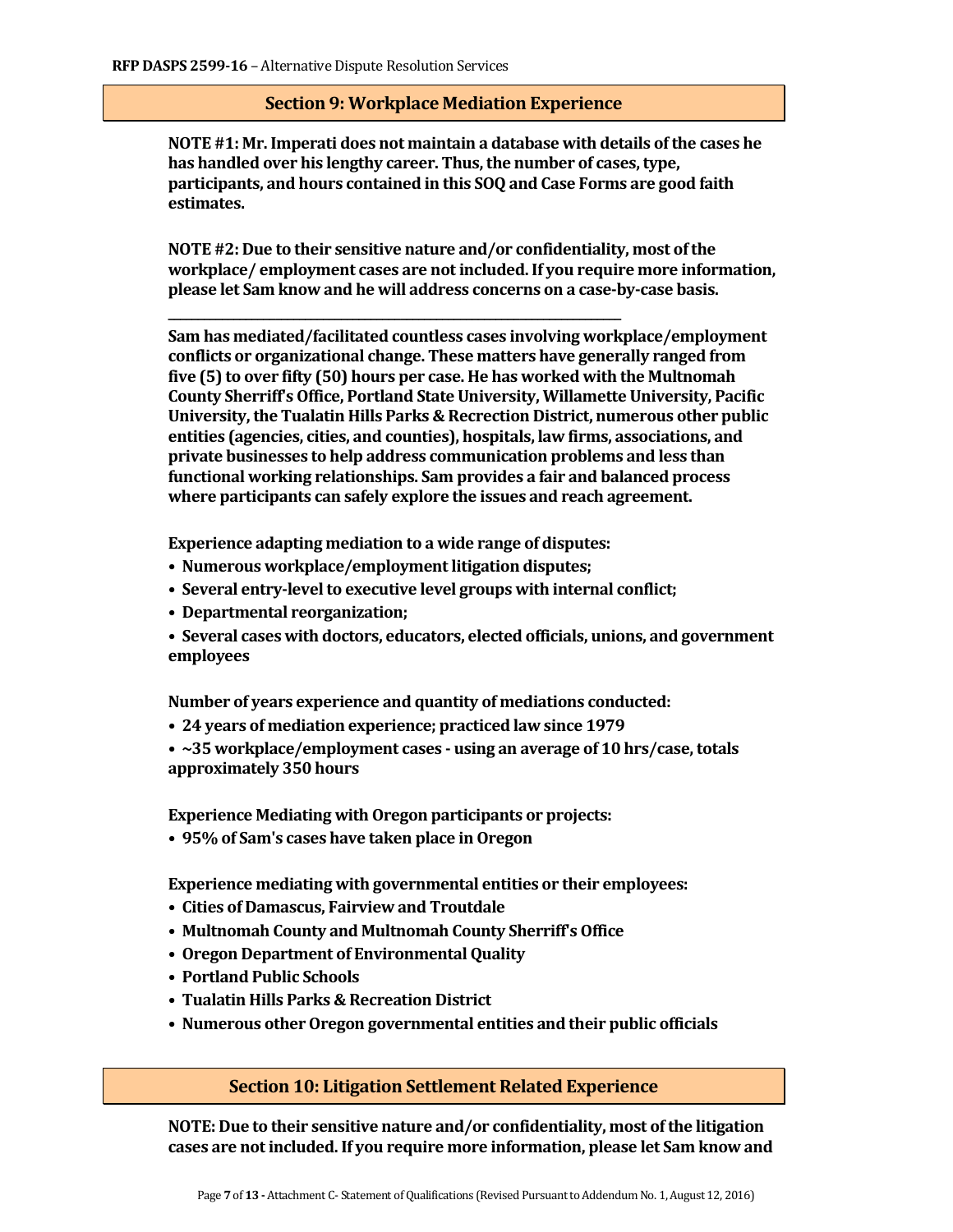### **Section 9: Workplace Mediation Experience**

**NOTE #1: Mr. Imperati does not maintain a database with details of the cases he has handled over his lengthy career. Thus, the number of cases, type, participants, and hours contained in this SOQ and Case Forms are good faith estimates.**

**NOTE #2: Due to their sensitive nature and/or confidentiality, most of the workplace/ employment cases are not included. If you require more information, please let Sam know and he will address concerns on a case-by-case basis.** 

**Sam has mediated/facilitated countless cases involving workplace/employment conflicts or organizational change. These matters have generally ranged from five (5) to over fifty (50) hours per case. He has worked with the Multnomah County Sherriff's Office, Portland State University, Willamette University, Pacific University, the Tualatin Hills Parks & Recrection District, numerous other public entities (agencies, cities, and counties), hospitals, law firms, associations, and private businesses to help address communication problems and less than functional working relationships. Sam provides a fair and balanced process where participants can safely explore the issues and reach agreement.** 

**Experience adapting mediation to a wide range of disputes:**

**\_\_\_\_\_\_\_\_\_\_\_\_\_\_\_\_\_\_\_\_\_\_\_\_\_\_\_\_\_\_\_\_\_\_\_\_\_\_\_\_\_\_\_\_\_\_\_\_\_\_\_\_\_\_\_\_\_\_\_\_\_\_\_\_\_\_\_\_\_\_\_\_\_\_\_\_**

- **Numerous workplace/employment litigation disputes;**
- **Several entry-level to executive level groups with internal conflict;**
- **Departmental reorganization;**
- **Several cases with doctors, educators, elected officials, unions, and government employees**

**Number of years experience and quantity of mediations conducted:**

**• 24 years of mediation experience; practiced law since 1979**

**• ~35 workplace/employment cases - using an average of 10 hrs/case, totals approximately 350 hours**

**Experience Mediating with Oregon participants or projects:**

**• 95% of Sam's cases have taken place in Oregon**

**Experience mediating with governmental entities or their employees:**

- **Cities of Damascus, Fairview and Troutdale**
- **Multnomah County and Multnomah County Sherriff's Office**
- **Oregon Department of Environmental Quality**
- **Portland Public Schools**
- **Tualatin Hills Parks & Recreation District**
- **Numerous other Oregon governmental entities and their public officials**

#### **Section 10: Litigation Settlement Related Experience**

**NOTE: Due to their sensitive nature and/or confidentiality, most of the litigation cases are not included. If you require more information, please let Sam know and**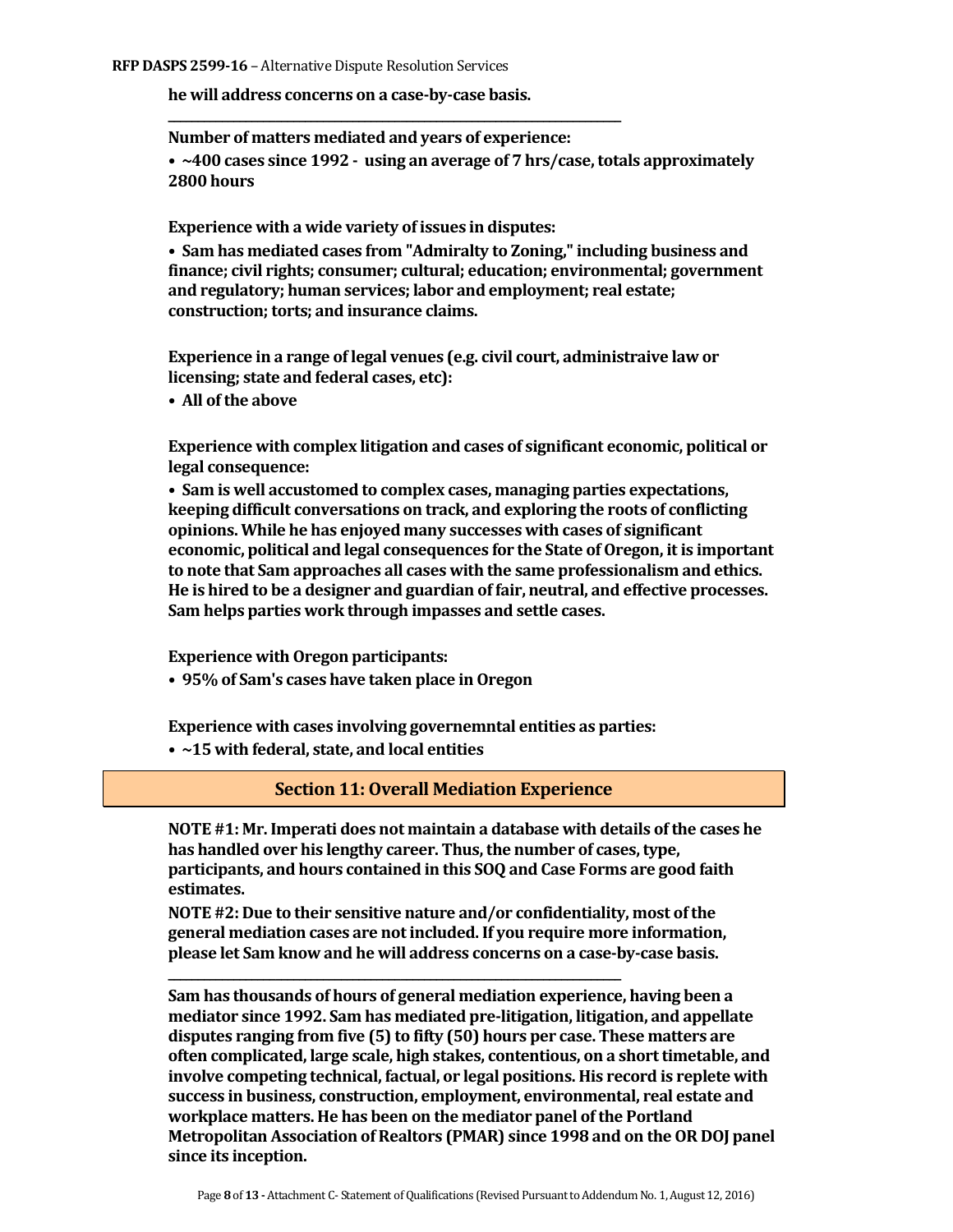**he will address concerns on a case-by-case basis.** 

**Number of matters mediated and years of experience:** 

**\_\_\_\_\_\_\_\_\_\_\_\_\_\_\_\_\_\_\_\_\_\_\_\_\_\_\_\_\_\_\_\_\_\_\_\_\_\_\_\_\_\_\_\_\_\_\_\_\_\_\_\_\_\_\_\_\_\_\_\_\_\_\_\_\_\_\_\_\_\_\_\_\_\_\_\_**

**• ~400 cases since 1992 - using an average of 7 hrs/case, totals approximately 2800 hours**

**Experience with a wide variety of issues in disputes:** 

**• Sam has mediated cases from "Admiralty to Zoning," including business and finance; civil rights; consumer; cultural; education; environmental; government and regulatory; human services; labor and employment; real estate; construction; torts; and insurance claims.**

**Experience in a range of legal venues (e.g. civil court, administraive law or licensing; state and federal cases, etc):**

**• All of the above**

**Experience with complex litigation and cases of significant economic, political or legal consequence:** 

**• Sam is well accustomed to complex cases, managing parties expectations, keeping difficult conversations on track, and exploring the roots of conflicting opinions. While he has enjoyed many successes with cases of significant economic, political and legal consequences for the State of Oregon, it is important to note that Sam approaches all cases with the same professionalism and ethics. He is hired to be a designer and guardian of fair, neutral, and effective processes. Sam helps parties work through impasses and settle cases.** 

**Experience with Oregon participants:** 

**• 95% of Sam's cases have taken place in Oregon**

**Experience with cases involving governemntal entities as parties:**

**• ~15 with federal, state, and local entities**

**Section 11: Overall Mediation Experience** 

**NOTE #1: Mr. Imperati does not maintain a database with details of the cases he has handled over his lengthy career. Thus, the number of cases, type, participants, and hours contained in this SOQ and Case Forms are good faith estimates.**

**NOTE #2: Due to their sensitive nature and/or confidentiality, most of the general mediation cases are not included. If you require more information, please let Sam know and he will address concerns on a case-by-case basis.** 

**\_\_\_\_\_\_\_\_\_\_\_\_\_\_\_\_\_\_\_\_\_\_\_\_\_\_\_\_\_\_\_\_\_\_\_\_\_\_\_\_\_\_\_\_\_\_\_\_\_\_\_\_\_\_\_\_\_\_\_\_\_\_\_\_\_\_\_\_\_\_\_\_\_\_\_\_**

**Sam has thousands of hours of general mediation experience, having been a mediator since 1992. Sam has mediated pre-litigation, litigation, and appellate disputes ranging from five (5) to fifty (50) hours per case. These matters are often complicated, large scale, high stakes, contentious, on a short timetable, and involve competing technical, factual, or legal positions. His record is replete with success in business, construction, employment, environmental, real estate and workplace matters. He has been on the mediator panel of the Portland Metropolitan Association of Realtors (PMAR) since 1998 and on the OR DOJ panel since its inception.**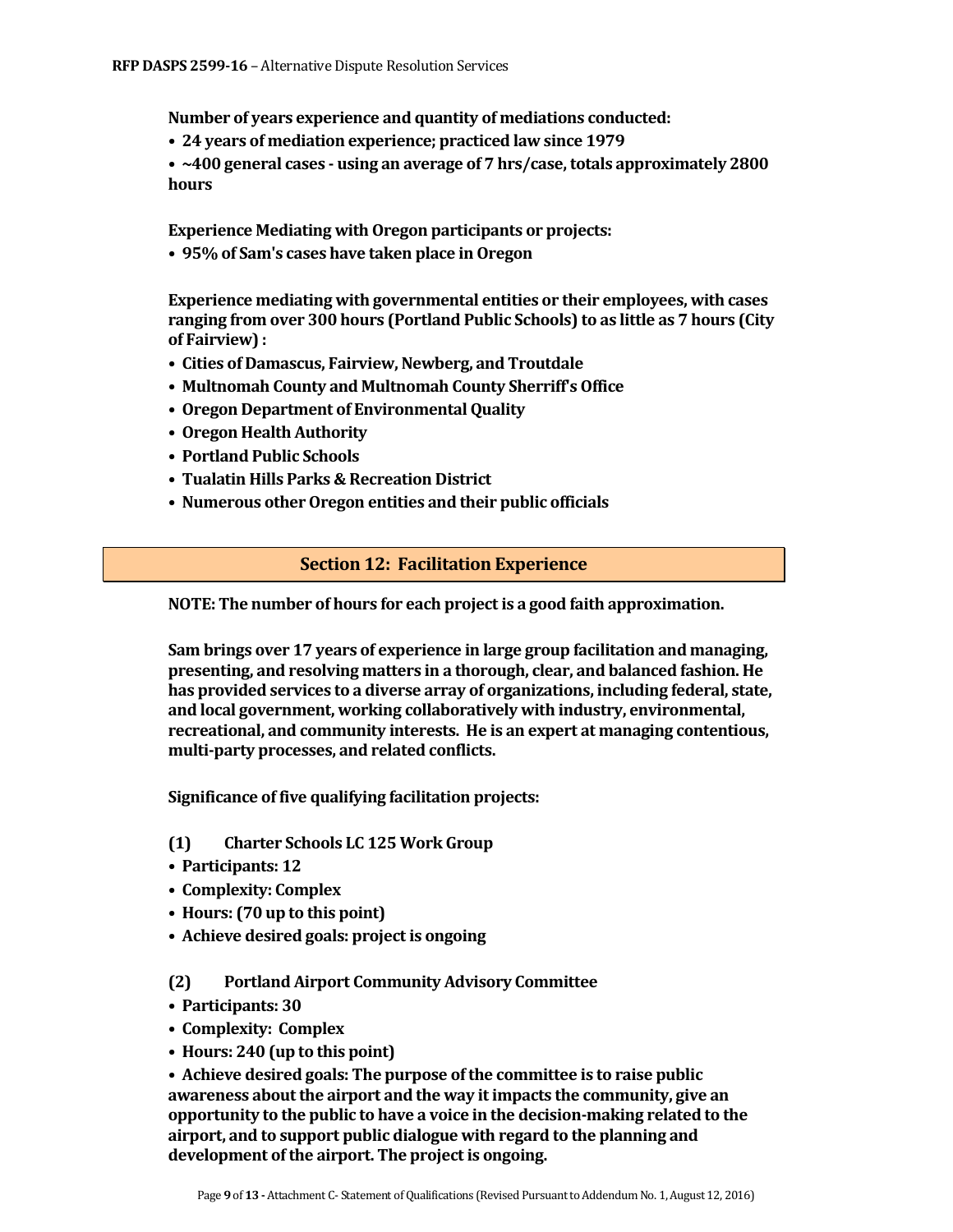**Number of years experience and quantity of mediations conducted:**

**• 24 years of mediation experience; practiced law since 1979**

**• ~400 general cases - using an average of 7 hrs/case, totals approximately 2800 hours**

**Experience Mediating with Oregon participants or projects:**

**• 95% of Sam's cases have taken place in Oregon**

**Experience mediating with governmental entities or their employees, with cases ranging from over 300 hours (Portland Public Schools) to as little as 7 hours (City of Fairview) :**

- **Cities of Damascus, Fairview, Newberg, and Troutdale**
- **Multnomah County and Multnomah County Sherriff's Office**
- **Oregon Department of Environmental Quality**
- **Oregon Health Authority**
- **Portland Public Schools**
- **Tualatin Hills Parks & Recreation District**
- **Numerous other Oregon entities and their public officials**

## **Section 12: Facilitation Experience**

**NOTE: The number of hours for each project is a good faith approximation.**

**Sam brings over 17 years of experience in large group facilitation and managing, presenting, and resolving matters in a thorough, clear, and balanced fashion. He has provided services to a diverse array of organizations, including federal, state, and local government, working collaboratively with industry, environmental, recreational, and community interests. He is an expert at managing contentious, multi-party processes, and related conflicts.** 

**Significance of five qualifying facilitation projects:**

- **(1) Charter Schools LC 125 Work Group**
- **Participants: 12**
- **Complexity: Complex**
- **Hours: (70 up to this point)**
- **Achieve desired goals: project is ongoing**

#### **(2) Portland Airport Community Advisory Committee**

- **Participants: 30**
- **Complexity: Complex**
- **Hours: 240 (up to this point)**

**• Achieve desired goals: The purpose of the committee is to raise public awareness about the airport and the way it impacts the community, give an opportunity to the public to have a voice in the decision-making related to the airport, and to support public dialogue with regard to the planning and development of the airport. The project is ongoing.**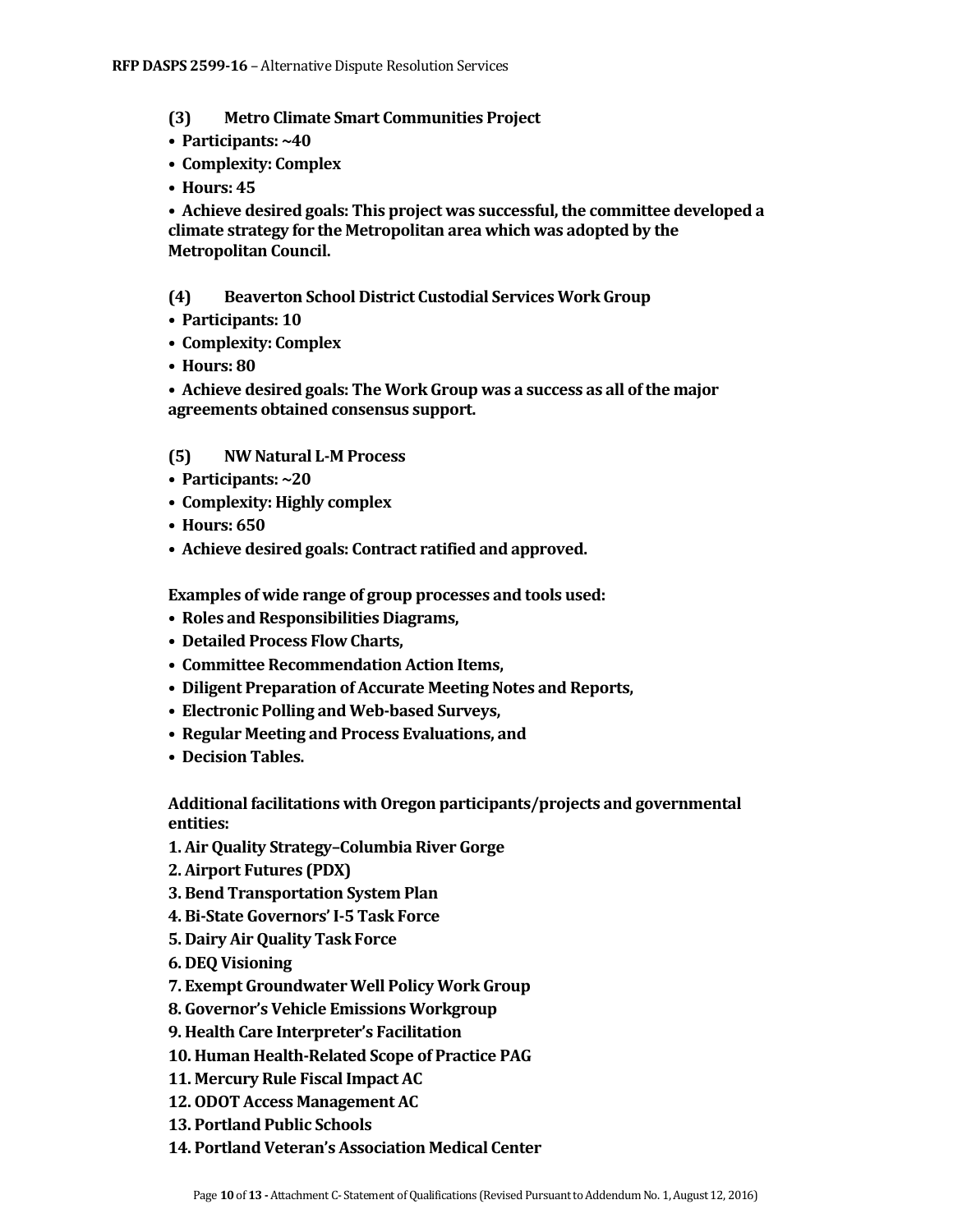#### **(3) Metro Climate Smart Communities Project**

- **Participants: ~40**
- **Complexity: Complex**
- **Hours: 45**

**• Achieve desired goals: This project was successful, the committee developed a climate strategy for the Metropolitan area which was adopted by the Metropolitan Council.**

#### **(4) Beaverton School District Custodial Services Work Group**

- **Participants: 10**
- **Complexity: Complex**
- **Hours: 80**

**• Achieve desired goals: The Work Group was a success as all of the major agreements obtained consensus support.**

#### **(5) NW Natural L-M Process**

- **Participants: ~20**
- **Complexity: Highly complex**
- **Hours: 650**
- **Achieve desired goals: Contract ratified and approved.**

**Examples of wide range of group processes and tools used:**

- **Roles and Responsibilities Diagrams,**
- **Detailed Process Flow Charts,**
- **Committee Recommendation Action Items,**
- **Diligent Preparation of Accurate Meeting Notes and Reports,**
- **Electronic Polling and Web-based Surveys,**
- **Regular Meeting and Process Evaluations, and**
- **Decision Tables.**

**Additional facilitations with Oregon participants/projects and governmental entities:**

- **1. Air Quality Strategy–Columbia River Gorge**
- **2. Airport Futures (PDX)**
- **3. Bend Transportation System Plan**
- **4. Bi-State Governors' I-5 Task Force**
- **5. Dairy Air Quality Task Force**
- **6. DEQ Visioning**
- **7. Exempt Groundwater Well Policy Work Group**
- **8. Governor's Vehicle Emissions Workgroup**
- **9. Health Care Interpreter's Facilitation**
- **10. Human Health-Related Scope of Practice PAG**
- **11. Mercury Rule Fiscal Impact AC**
- **12. ODOT Access Management AC**
- **13. Portland Public Schools**
- **14. Portland Veteran's Association Medical Center**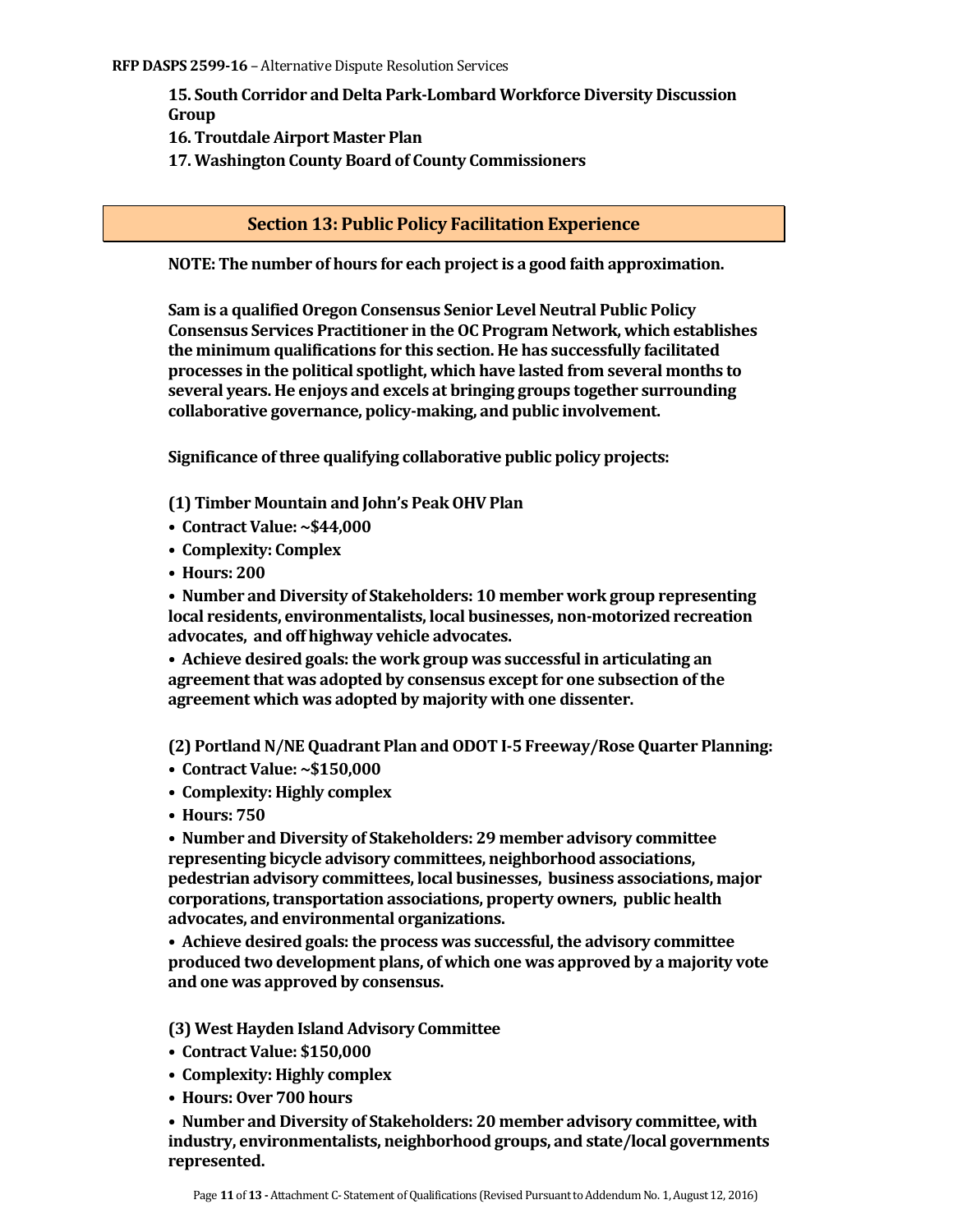**15. South Corridor and Delta Park-Lombard Workforce Diversity Discussion Group**

**16. Troutdale Airport Master Plan**

**17. Washington County Board of County Commissioners**

## **Section 13: Public Policy Facilitation Experience**

**NOTE: The number of hours for each project is a good faith approximation.**

**Sam is a qualified Oregon Consensus Senior Level Neutral Public Policy Consensus Services Practitioner in the OC Program Network, which establishes the minimum qualifications for this section. He has successfully facilitated processes in the political spotlight, which have lasted from several months to several years. He enjoys and excels at bringing groups together surrounding collaborative governance, policy-making, and public involvement.**

**Significance of three qualifying collaborative public policy projects:**

**(1) Timber Mountain and John's Peak OHV Plan**

- **Contract Value: ~\$44,000**
- **Complexity: Complex**
- **Hours: 200**

**• Number and Diversity of Stakeholders: 10 member work group representing local residents, environmentalists, local businesses, non-motorized recreation advocates, and off highway vehicle advocates.**

**• Achieve desired goals: the work group was successful in articulating an agreement that was adopted by consensus except for one subsection of the agreement which was adopted by majority with one dissenter.**

**(2) Portland N/NE Quadrant Plan and ODOT I-5 Freeway/Rose Quarter Planning:** 

- **Contract Value: ~\$150,000**
- **Complexity: Highly complex**
- **Hours: 750**

**• Number and Diversity of Stakeholders: 29 member advisory committee representing bicycle advisory committees, neighborhood associations, pedestrian advisory committees, local businesses, business associations, major corporations, transportation associations, property owners, public health advocates, and environmental organizations.**

**• Achieve desired goals: the process was successful, the advisory committee produced two development plans, of which one was approved by a majority vote and one was approved by consensus.**

**(3) West Hayden Island Advisory Committee**

- **Contract Value: \$150,000**
- **Complexity: Highly complex**
- **Hours: Over 700 hours**

**• Number and Diversity of Stakeholders: 20 member advisory committee, with industry, environmentalists, neighborhood groups, and state/local governments represented.**